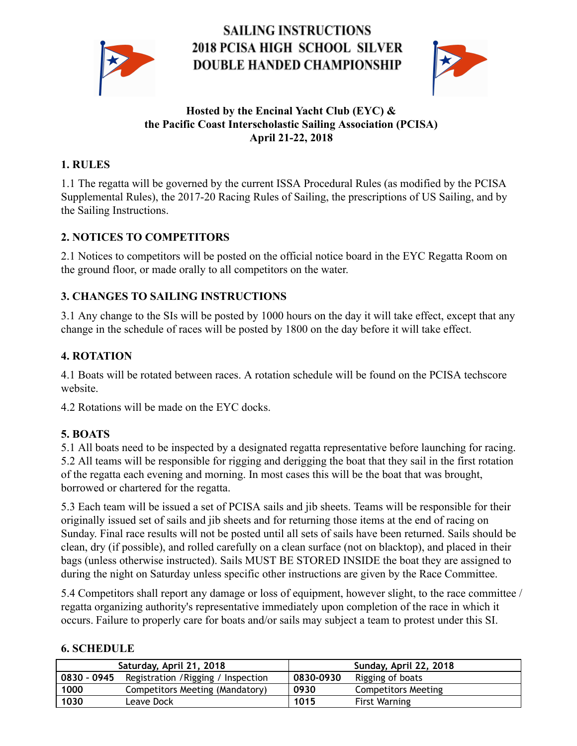

# **SAILING INSTRUCTIONS 2018 PCISA HIGH SCHOOL SILVER** DOUBLE HANDED CHAMPIONSHIP



#### Hosted by the Encinal Yacht Club (EYC) & the Pacific Coast Interscholastic Sailing Association (PCISA) April 21-22, 2018

# 1. RULES

1.1 The regatta will be governed by the current ISSA Procedural Rules (as modified by the PCISA Supplemental Rules), the 2017-20 Racing Rules of Sailing, the prescriptions of US Sailing, and by the Sailing Instructions.

# 2. NOTICES TO COMPETITORS

2.1 Notices to competitors will be posted on the official notice board in the EYC Regatta Room on the ground floor, or made orally to all competitors on the water.

# 3. CHANGES TO SAILING INSTRUCTIONS

3.1 Any change to the SIs will be posted by 1000 hours on the day it will take effect, except that any change in the schedule of races will be posted by 1800 on the day before it will take effect.

#### 4. ROTATION

4.1 Boats will be rotated between races.A rotation schedule will be found on the PCISA techscore website.

4.2 Rotations will be made on the EYC docks.

# 5. BOATS

5.1 All boats need to be inspected by a designated regatta representative before launching for racing. 5.2 All teams will be responsible for rigging and derigging the boat that they sail in the first rotation of the regatta each evening and morning. In most cases this will be the boat that was brought, borrowed or chartered for the regatta.

5.3 Each team will be issued a set of PCISA sails and jib sheets. Teams will be responsible for their originally issued set of sails and jib sheets and for returning those items at the end of racing on Sunday. Final race results will not be posted until all sets of sails have been returned. Sails should be clean, dry (if possible), and rolled carefully on a clean surface (not on blacktop), and placed in their bags (unless otherwise instructed). Sails MUST BE STORED INSIDE the boat they are assigned to during the night on Saturday unless specific other instructions are given by the Race Committee.

5.4 Competitors shall report any damage or loss of equipment, however slight, to the race committee / regatta organizing authority's representative immediately upon completion of the race in which it occurs. Failure to properly care for boats and/or sails may subject a team to protest under this SI.

#### 6. SCHEDULE

| Saturday, April 21, 2018 |                                     | Sunday, April 22, 2018 |                            |
|--------------------------|-------------------------------------|------------------------|----------------------------|
| 0830 - 0945              | Registration / Rigging / Inspection | 0830-0930              | Rigging of boats           |
| 1000                     | Competitors Meeting (Mandatory)     | 0930                   | <b>Competitors Meeting</b> |
| 1030                     | Leave Dock                          | 1015                   | <b>First Warning</b>       |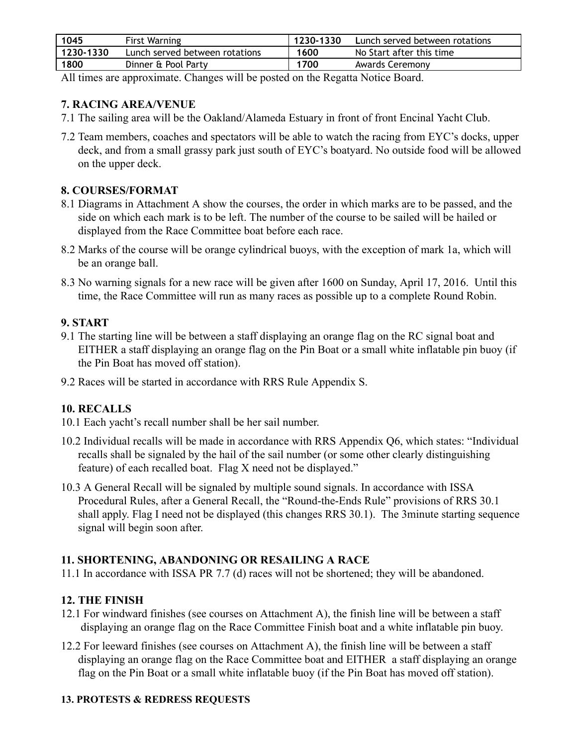| 1045      | First Warning                  | 1230-1330 | Lunch served between rotations |
|-----------|--------------------------------|-----------|--------------------------------|
| 1230-1330 | Lunch served between rotations | 1600      | No Start after this time       |
| 1800      | Dinner & Pool Party            | 1700      | Awards Ceremony                |

All times are approximate. Changes will be posted on the Regatta Notice Board.

#### 7. RACING AREA/VENUE

- 7.1 The sailing area will be the Oakland/Alameda Estuary in front of front Encinal Yacht Club.
- 7.2 Team members, coaches and spectators will be able to watch the racing from EYC's docks, upper deck, and from a small grassy park just south of EYC's boatyard. No outside food will be allowed on the upper deck.

#### 8. COURSES/FORMAT

- 8.1 Diagrams in Attachment A show the courses, the order in which marks are to be passed, and the side on which each mark is to be left. The number of the course to be sailed will be hailed or displayed from the Race Committee boat before each race.
- 8.2 Marks of the course will be orange cylindrical buoys, with the exception of mark 1a, which will be an orange ball.
- 8.3 No warning signals for a new race will be given after 1600 on Sunday, April 17, 2016. Until this time, the Race Committee will run as many races as possible up to a complete Round Robin.

# 9. START

- 9.1 The starting line will be between a staff displaying an orange flag on the RC signal boat and EITHER a staff displaying an orange flag on the Pin Boat or a small white inflatable pin buoy (if the Pin Boat has moved off station).
- 9.2 Races will be started in accordance with RRS Rule Appendix S.

#### 10. RECALLS

- 10.1 Each yacht's recall number shall be her sail number.
- 10.2 Individual recalls will be made in accordance with RRS Appendix Q6, which states: "Individual recalls shall be signaled by the hail of the sail number (or some other clearly distinguishing feature) of each recalled boat. Flag X need not be displayed."
- 10.3 A General Recall will be signaled by multiple sound signals. In accordance with ISSA Procedural Rules, after a General Recall, the "Round-the-Ends Rule" provisions of RRS 30.1 shall apply. Flag I need not be displayed (this changes RRS 30.1). The 3minute starting sequence signal will begin soon after.

#### 11. SHORTENING, ABANDONING OR RESAILING A RACE

11.1 In accordance with ISSA PR 7.7 (d) races will not be shortened; they will be abandoned.

# 12. THE FINISH

- 12.1 For windward finishes (see courses on Attachment A), the finish line will be between a staff displaying an orange flag on the Race Committee Finish boat and a white inflatable pin buoy.
- 12.2 For leeward finishes (see courses on Attachment A), the finish line will be between a staff displaying an orange flag on the Race Committee boat and EITHER a staff displaying an orange flag on the Pin Boat or a small white inflatable buoy (if the Pin Boat has moved off station).

#### 13. PROTESTS & REDRESS REQUESTS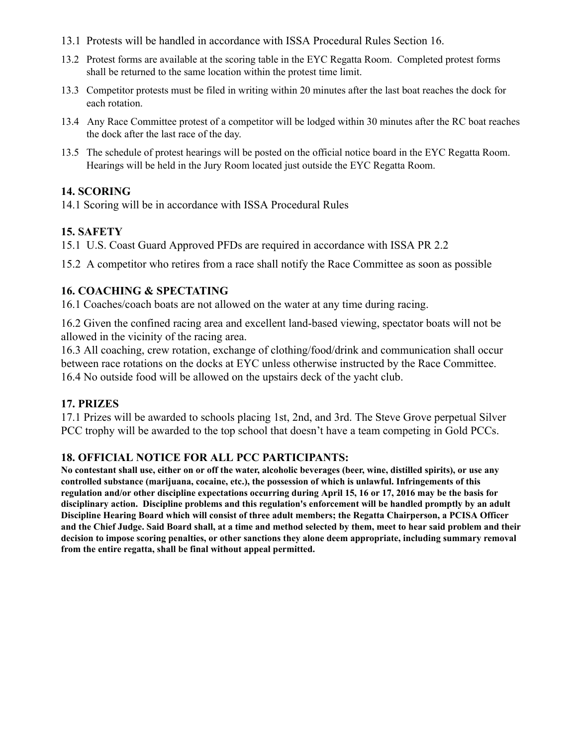- 13.1 Protests will be handled in accordance with ISSA Procedural Rules Section 16.
- 13.2 Protest forms are available at the scoring table in the EYC Regatta Room. Completed protest forms shall be returned to the same location within the protest time limit.
- 13.3 Competitor protests must be filed in writing within 20 minutes after the last boat reaches the dock for each rotation.
- 13.4 Any Race Committee protest of a competitor will be lodged within 30 minutes after the RC boat reaches the dock after the last race of the day.
- 13.5 The schedule of protest hearings will be posted on the official notice board in the EYC Regatta Room. Hearings will be held in the Jury Room located just outside the EYC Regatta Room.

#### 14. SCORING

14.1 Scoring will be in accordance with ISSA Procedural Rules

#### 15. SAFETY

15.1 U.S. Coast Guard Approved PFDs are required in accordance with ISSA PR 2.2

15.2 A competitor who retires from a race shall notify the Race Committee as soon as possible

#### 16. COACHING & SPECTATING

16.1 Coaches/coach boats are not allowed on the water at any time during racing.

16.2 Given the confined racing area and excellent land-based viewing, spectator boats will not be allo wed in the vicinity of the racing area.

16.3 All coaching, crew rotation, exchange of clothing/food/drink and communication shall occur between race rotations on the docks at EYC unless otherwise instructed by the Race Committee. 16.4 No outside food will be allowed on the upstairs deck of the yacht club.

#### 17. PRIZES

17.1 Prizes will be awarded to schools placing 1st, 2nd, and 3rd. The Steve Grove perpetual Silver PCC trophy will be awarded to the top school that doesn't have a team competing in Gold PCCs.

#### 18. OFFICIAL NOTICE FOR ALL PCC PARTICIPANTS:

No contestant shall use, either on or off the water, alcoholic beverages (beer, wine, distilled spirits), or use any controlled substance (marijuana, cocaine, etc.), the possession of which is unlawful. Infringements of this regulation and/or other discipline expectations occurring during April 15, 16 or 17, 2016 may be the basis for disciplinary action. Discipline problems and this regulation's enforcement will be handled promptly by an adult Discipline Hearing Board which will consist of three adult members; the Regatta Chairperson, a PCISA Officer and the Chief Judge. Said Board shall, at a time and method selected by them, meet to hear said problem and their decision to impose scoring penalties, or other sanctions they alone deem appropriate, including summary removal from the entire regatta, shall be final without appeal permitted.